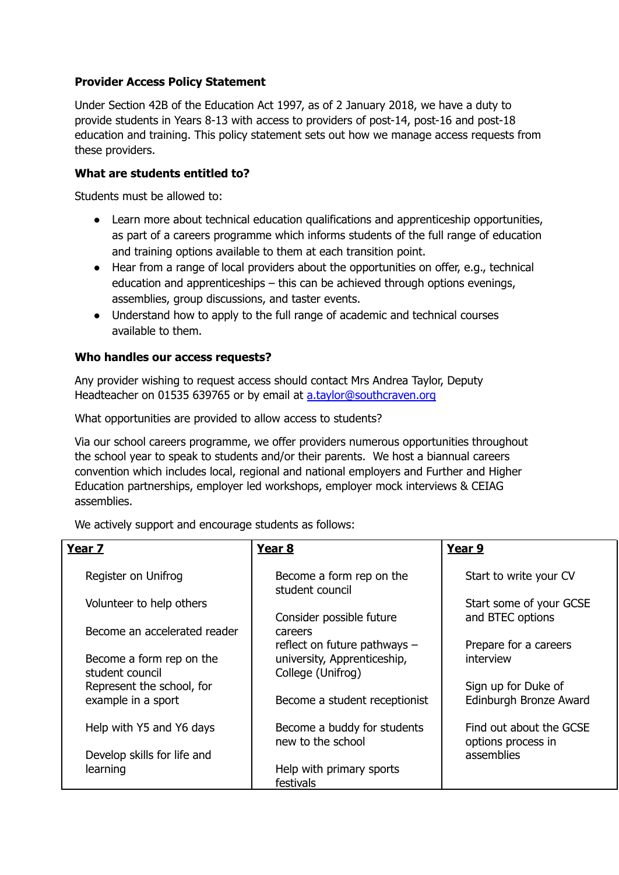## **Provider Access Policy Statement**

Under Section 42B of the Education Act 1997, as of 2 January 2018, we have a duty to provide students in Years 8-13 with access to providers of post-14, post-16 and post-18 education and training. This policy statement sets out how we manage access requests from these providers.

## **What are students entitled to?**

Students must be allowed to:

- Learn more about technical education qualifications and apprenticeship opportunities, as part of a careers programme which informs students of the full range of education and training options available to them at each transition point.
- Hear from a range of local providers about the opportunities on offer, e.g., technical education and apprenticeships – this can be achieved through options evenings, assemblies, group discussions, and taster events.
- Understand how to apply to the full range of academic and technical courses available to them.

## **Who handles our access requests?**

Any provider wishing to request access should contact Mrs Andrea Taylor, Deputy Headteacher on 01535 639765 or by email at [a.taylor@southcraven.org](mailto:a.taylor@southcraven.org)

What opportunities are provided to allow access to students?

Via our school careers programme, we offer providers numerous opportunities throughout the school year to speak to students and/or their parents. We host a biannual careers convention which includes local, regional and national employers and Further and Higher Education partnerships, employer led workshops, employer mock interviews & CEIAG assemblies.

| Year 7                                      | Year <sub>8</sub>                                | Year 9                                        |
|---------------------------------------------|--------------------------------------------------|-----------------------------------------------|
| Register on Unifrog                         | Become a form rep on the<br>student council      | Start to write your CV                        |
| Volunteer to help others                    | Consider possible future                         | Start some of your GCSE<br>and BTEC options   |
| Become an accelerated reader                | careers<br>reflect on future pathways $-$        | Prepare for a careers                         |
| Become a form rep on the<br>student council | university, Apprenticeship,<br>College (Unifrog) | interview                                     |
| Represent the school, for                   |                                                  | Sign up for Duke of                           |
| example in a sport                          | Become a student receptionist                    | Edinburgh Bronze Award                        |
| Help with Y5 and Y6 days                    | Become a buddy for students<br>new to the school | Find out about the GCSE<br>options process in |
| Develop skills for life and                 |                                                  | assemblies                                    |
| learning                                    | Help with primary sports<br>festivals            |                                               |

We actively support and encourage students as follows: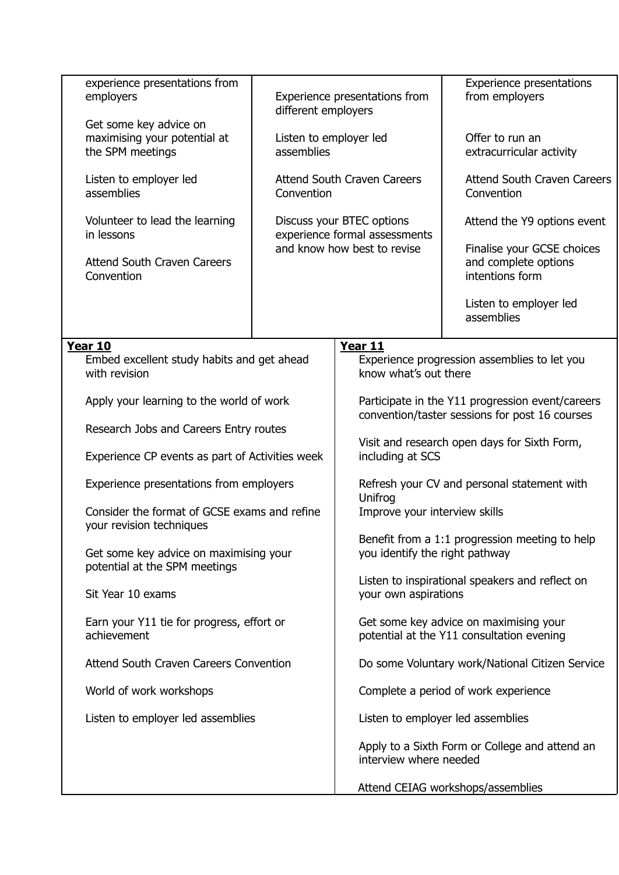| experience presentations from<br>employers                               | Experience presentations from<br>different employers       |                                                                                                    | <b>Experience presentations</b><br>from employers                     |
|--------------------------------------------------------------------------|------------------------------------------------------------|----------------------------------------------------------------------------------------------------|-----------------------------------------------------------------------|
| Get some key advice on                                                   |                                                            |                                                                                                    |                                                                       |
| maximising your potential at<br>the SPM meetings                         | Listen to employer led<br>assemblies                       |                                                                                                    | Offer to run an<br>extracurricular activity                           |
| Listen to employer led<br>assemblies                                     | <b>Attend South Craven Careers</b><br>Convention           |                                                                                                    | <b>Attend South Craven Careers</b><br>Convention                      |
| Volunteer to lead the learning<br>in lessons                             | Discuss your BTEC options<br>experience formal assessments |                                                                                                    | Attend the Y9 options event                                           |
| <b>Attend South Craven Careers</b><br>Convention                         | and know how best to revise                                |                                                                                                    | Finalise your GCSE choices<br>and complete options<br>intentions form |
|                                                                          |                                                            |                                                                                                    | Listen to employer led<br>assemblies                                  |
| Year 10                                                                  |                                                            | Year 11                                                                                            |                                                                       |
| Embed excellent study habits and get ahead<br>with revision              |                                                            | Experience progression assemblies to let you<br>know what's out there                              |                                                                       |
| Apply your learning to the world of work                                 |                                                            | Participate in the Y11 progression event/careers<br>convention/taster sessions for post 16 courses |                                                                       |
| Research Jobs and Careers Entry routes                                   |                                                            |                                                                                                    |                                                                       |
| Experience CP events as part of Activities week                          |                                                            | Visit and research open days for Sixth Form,<br>including at SCS                                   |                                                                       |
| Experience presentations from employers                                  |                                                            | Refresh your CV and personal statement with<br>Unifrog                                             |                                                                       |
| Consider the format of GCSE exams and refine<br>your revision techniques |                                                            | Improve your interview skills                                                                      |                                                                       |
| Get some key advice on maximising your<br>potential at the SPM meetings  |                                                            | Benefit from a 1:1 progression meeting to help<br>you identify the right pathway                   |                                                                       |
| Sit Year 10 exams                                                        |                                                            | Listen to inspirational speakers and reflect on<br>your own aspirations                            |                                                                       |
| Earn your Y11 tie for progress, effort or<br>achievement                 |                                                            | Get some key advice on maximising your<br>potential at the Y11 consultation evening                |                                                                       |
| Attend South Craven Careers Convention                                   |                                                            | Do some Voluntary work/National Citizen Service                                                    |                                                                       |
| World of work workshops                                                  |                                                            | Complete a period of work experience                                                               |                                                                       |
| Listen to employer led assemblies                                        |                                                            | Listen to employer led assemblies                                                                  |                                                                       |
|                                                                          |                                                            | interview where needed                                                                             | Apply to a Sixth Form or College and attend an                        |
|                                                                          |                                                            |                                                                                                    | Attend CEIAG workshops/assemblies                                     |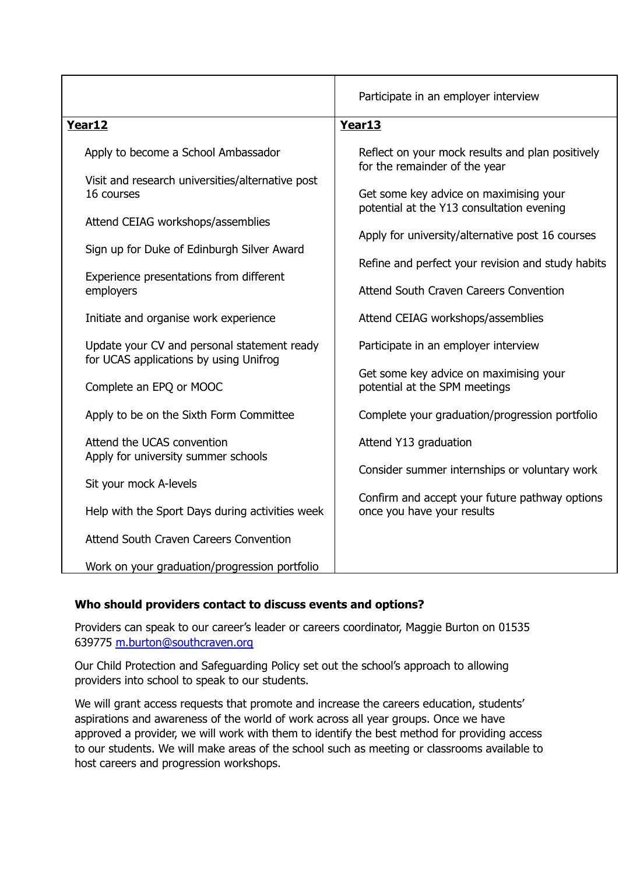|                                                                                       | Participate in an employer interview                                                                                        |  |
|---------------------------------------------------------------------------------------|-----------------------------------------------------------------------------------------------------------------------------|--|
| Year12                                                                                | Year13                                                                                                                      |  |
| Apply to become a School Ambassador                                                   | Reflect on your mock results and plan positively<br>for the remainder of the year<br>Get some key advice on maximising your |  |
| Visit and research universities/alternative post<br>16 courses                        |                                                                                                                             |  |
| Attend CEIAG workshops/assemblies                                                     | potential at the Y13 consultation evening                                                                                   |  |
|                                                                                       | Apply for university/alternative post 16 courses                                                                            |  |
| Sign up for Duke of Edinburgh Silver Award                                            | Refine and perfect your revision and study habits                                                                           |  |
| Experience presentations from different<br>employers                                  | Attend South Craven Careers Convention                                                                                      |  |
| Initiate and organise work experience                                                 | Attend CEIAG workshops/assemblies                                                                                           |  |
| Update your CV and personal statement ready<br>for UCAS applications by using Unifrog | Participate in an employer interview                                                                                        |  |
| Complete an EPQ or MOOC                                                               | Get some key advice on maximising your<br>potential at the SPM meetings                                                     |  |
| Apply to be on the Sixth Form Committee                                               | Complete your graduation/progression portfolio                                                                              |  |
| Attend the UCAS convention                                                            | Attend Y13 graduation                                                                                                       |  |
| Apply for university summer schools                                                   | Consider summer internships or voluntary work                                                                               |  |
| Sit your mock A-levels                                                                |                                                                                                                             |  |
| Help with the Sport Days during activities week                                       | Confirm and accept your future pathway options<br>once you have your results                                                |  |
| Attend South Craven Careers Convention                                                |                                                                                                                             |  |
| Work on your graduation/progression portfolio                                         |                                                                                                                             |  |

## **Who should providers contact to discuss events and options?**

Providers can speak to our career's leader or careers coordinator, Maggie Burton on 01535 639775 [m.burton@southcraven.org](mailto:m.burton@southcraven.org)

Our Child Protection and Safeguarding Policy set out the school's approach to allowing providers into school to speak to our students.

We will grant access requests that promote and increase the careers education, students' aspirations and awareness of the world of work across all year groups. Once we have approved a provider, we will work with them to identify the best method for providing access to our students. We will make areas of the school such as meeting or classrooms available to host careers and progression workshops.